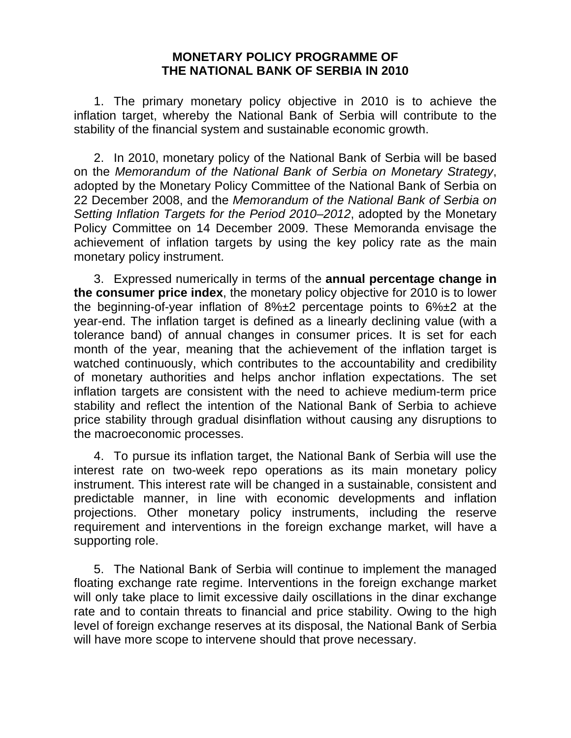## **MONETARY POLICY PROGRAMME OF THE NATIONAL BANK OF SERBIA IN 2010**

 1. The primary monetary policy objective in 2010 is to achieve the inflation target, whereby the National Bank of Serbia will contribute to the stability of the financial system and sustainable economic growth.

 2. In 2010, monetary policy of the National Bank of Serbia will be based on the *Memorandum of the National Bank of Serbia on Monetary Strategy*, adopted by the Monetary Policy Committee of the National Bank of Serbia on 22 December 2008, and the *Memorandum of the National Bank of Serbia on Setting Inflation Targets for the Period 2010–2012*, adopted by the Monetary Policy Committee on 14 December 2009. These Memoranda envisage the achievement of inflation targets by using the key policy rate as the main monetary policy instrument.

 3. Expressed numerically in terms of the **annual percentage change in the consumer price index**, the monetary policy objective for 2010 is to lower the beginning-of-year inflation of 8%±2 percentage points to 6%±2 at the year-end. The inflation target is defined as a linearly declining value (with a tolerance band) of annual changes in consumer prices. It is set for each month of the year, meaning that the achievement of the inflation target is watched continuously, which contributes to the accountability and credibility of monetary authorities and helps anchor inflation expectations. The set inflation targets are consistent with the need to achieve medium-term price stability and reflect the intention of the National Bank of Serbia to achieve price stability through gradual disinflation without causing any disruptions to the macroeconomic processes.

 4. To pursue its inflation target, the National Bank of Serbia will use the interest rate on two-week repo operations as its main monetary policy instrument. This interest rate will be changed in a sustainable, consistent and predictable manner, in line with economic developments and inflation projections. Other monetary policy instruments, including the reserve requirement and interventions in the foreign exchange market, will have a supporting role.

 5. The National Bank of Serbia will continue to implement the managed floating exchange rate regime. Interventions in the foreign exchange market will only take place to limit excessive daily oscillations in the dinar exchange rate and to contain threats to financial and price stability. Owing to the high level of foreign exchange reserves at its disposal, the National Bank of Serbia will have more scope to intervene should that prove necessary.